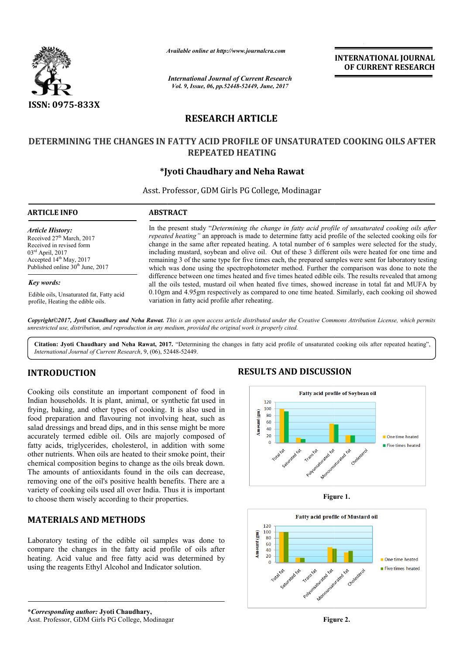

*Available online at http://www.journal http://www.journalcra.com*

*International Journal of Current Research Vol. 9, Issue, 06, pp.52448-52449, June, 2017*

**INTERNATIONAL JOURNAL OF CURRENT RESEARCH** 

# **RESEARCH ARTICLE**

### DETERMINING THE CHANGES IN FATTY ACID PROFILE OF UNSATURATED COOKING OILS AFTER **REPEATED HEATING**

### **\*Jyoti Chaudhary Jyoti and Neha Rawat**

Asst. Professor, GDM Girls PG College, Modinagar

| <b>ARTICLE INFO</b>                          | <b>ABSTRACT</b>                                                                                                                                                                                             |  |  |
|----------------------------------------------|-------------------------------------------------------------------------------------------------------------------------------------------------------------------------------------------------------------|--|--|
| <b>Article History:</b>                      | In the present study "Determining the change in fatty acid profile of unsaturated cooking oils after                                                                                                        |  |  |
| Received 27 <sup>th</sup> March, 2017        | repeated heating" an approach is made to determine fatty acid profile of the selected cooking oils for                                                                                                      |  |  |
| Received in revised form                     | change in the same after repeated heating. A total number of 6 samples were selected for the study,                                                                                                         |  |  |
| $03^{\text{rd}}$ April, 2017                 | including mustard, soybean and olive oil. Out of these 3 different oils were heated for one time and                                                                                                        |  |  |
| Accepted $14th$ May, 2017                    | remaining 3 of the same type for five times each, the prepared samples were sent for laboratory testing                                                                                                     |  |  |
| Published online 30 <sup>th</sup> June, 2017 | which was done using the spectrophotometer method. Further the comparison was done to note the                                                                                                              |  |  |
| Key words:                                   | difference between one times heated and five times heated edible oils. The results revealed that among<br>all the oils tested, mustard oil when heated five times, showed increase in total fat and MUFA by |  |  |
| Edible oils, Unsaturated fat, Fatty acid     | 0.10gm and 4.95gm respectively as compared to one time heated. Similarly, each cooking oil showed                                                                                                           |  |  |
| profile, Heating the edible oils.            | variation in fatty acid profile after reheating.                                                                                                                                                            |  |  |

*Copyright©2017, Jyoti Chaudhary and Neha Rawat. This is an open access article distributed under the Creative Commons Att Attribution License, which permits unrestricted use, distribution, and reproduction in any medium, provided the original work is properly cited.*

Citation: Jyoti Chaudhary and Neha Rawat, 2017. "Determining the changes in fatty acid profile of unsaturated cooking oils after repeated heating", *International Journal of Current Research*, 9, (06), 52448 52448-52449.

## **INTRODUCTION**

Cooking oils constitute an important component of food in Indian households. It is plant, animal, or synthetic fat used in frying, baking, and other types of cooking. It is also used in food preparation and flavouring not involving heat, such as salad dressings and bread dips, and in this sense might be more accurately termed edible oil. Oils are majorly composed of fatty acids, triglycerides, cholesterol, in addition with some other nutrients. When oils are heated to their smoke point, their chemical composition begins to change as the oils break down. The amounts of antioxidants found in the oils can decrease, removing one of the oil's positive health benefits. There are a variety of cooking oils used all over India. Thus it is important to choose them wisely according to their properties. **DUCTION**<br>
Single constitute an important component of food in<br>
useholds. It is plant, animal, or synthetic fat used in<br>
king, and other types of cooking. It is also used in<br>
sings and breaduring not involving heat, such

### **MATERIALS AND METHODS**

Laboratory testing of the edible oil samples was done to compare the changes in the fatty acid profile of oils after heating. Acid value and free fatty acid was determined by using the reagents Ethyl Alcohol and Indicator solution.